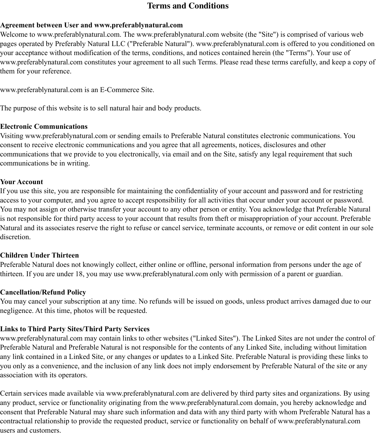## **Terms and Conditions**

# **Agreement between User and www.preferablynatural.com**

Welcome to www.preferablynatural.com. The www.preferablynatural.com website (the "Site") is comprised of various web pages operated by Preferably Natural LLC ("Preferable Natural"). www.preferablynatural.com is offered to you conditioned on your acceptance without modification of the terms, conditions, and notices contained herein (the "Terms"). Your use of www.preferablynatural.com constitutes your agreement to all such Terms. Please read these terms carefully, and keep a copy of them for your reference.

www.preferablynatural.com is an E-Commerce Site.

The purpose of this website is to sell natural hair and body products.

# **Electronic Communications**

Visiting www.preferablynatural.com or sending emails to Preferable Natural constitutes electronic communications. You consent to receive electronic communications and you agree that all agreements, notices, disclosures and other communications that we provide to you electronically, via email and on the Site, satisfy any legal requirement that such communications be in writing.

### **Your Account**

If you use this site, you are responsible for maintaining the confidentiality of your account and password and for restricting access to your computer, and you agree to accept responsibility for all activities that occur under your account or password. You may not assign or otherwise transfer your account to any other person or entity. You acknowledge that Preferable Natural is not responsible for third party access to your account that results from theft or misappropriation of your account. Preferable Natural and its associates reserve the right to refuse or cancel service, terminate accounts, or remove or edit content in our sole discretion.

## **Children Under Thirteen**

Preferable Natural does not knowingly collect, either online or offline, personal information from persons under the age of thirteen. If you are under 18, you may use www.preferablynatural.com only with permission of a parent or guardian.

## **Cancellation/Refund Policy**

You may cancel your subscription at any time. No refunds will be issued on goods, unless product arrives damaged due to our negligence. At this time, photos will be requested.

## **Links to Third Party Sites/Third Party Services**

www.preferablynatural.com may contain links to other websites ("Linked Sites"). The Linked Sites are not under the control of Preferable Natural and Preferable Natural is not responsible for the contents of any Linked Site, including without limitation any link contained in a Linked Site, or any changes or updates to a Linked Site. Preferable Natural is providing these links to you only as a convenience, and the inclusion of any link does not imply endorsement by Preferable Natural of the site or any association with its operators.

Certain services made available via www.preferablynatural.com are delivered by third party sites and organizations. By using any product, service or functionality originating from the www.preferablynatural.com domain, you hereby acknowledge and consent that Preferable Natural may share such information and data with any third party with whom Preferable Natural has a contractual relationship to provide the requested product, service or functionality on behalf of www.preferablynatural.com users and customers.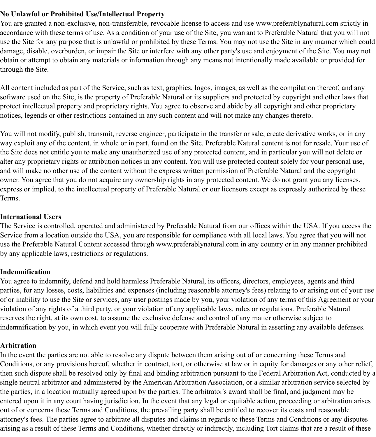### **No Unlawful or Prohibited Use/Intellectual Property**

You are granted a non-exclusive, non-transferable, revocable license to access and use www.preferablynatural.com strictly in accordance with these terms of use. As a condition of your use of the Site, you warrant to Preferable Natural that you will not use the Site for any purpose that is unlawful or prohibited by these Terms. You may not use the Site in any manner which could damage, disable, overburden, or impair the Site or interfere with any other party's use and enjoyment of the Site. You may not obtain or attempt to obtain any materials or information through any means not intentionally made available or provided for through the Site.

All content included as part of the Service, such as text, graphics, logos, images, as well as the compilation thereof, and any software used on the Site, is the property of Preferable Natural or its suppliers and protected by copyright and other laws that protect intellectual property and proprietary rights. You agree to observe and abide by all copyright and other proprietary notices, legends or other restrictions contained in any such content and will not make any changes thereto.

You will not modify, publish, transmit, reverse engineer, participate in the transfer or sale, create derivative works, or in any way exploit any of the content, in whole or in part, found on the Site. Preferable Natural content is not for resale. Your use of the Site does not entitle you to make any unauthorized use of any protected content, and in particular you will not delete or alter any proprietary rights or attribution notices in any content. You will use protected content solely for your personal use, and will make no other use of the content without the express written permission of Preferable Natural and the copyright owner. You agree that you do not acquire any ownership rights in any protected content. We do not grant you any licenses, express or implied, to the intellectual property of Preferable Natural or our licensors except as expressly authorized by these Terms.

#### **International Users**

The Service is controlled, operated and administered by Preferable Natural from our offices within the USA. If you access the Service from a location outside the USA, you are responsible for compliance with all local laws. You agree that you will not use the Preferable Natural Content accessed through www.preferablynatural.com in any country or in any manner prohibited by any applicable laws, restrictions or regulations.

#### **Indemnification**

You agree to indemnify, defend and hold harmless Preferable Natural, its officers, directors, employees, agents and third parties, for any losses, costs, liabilities and expenses (including reasonable attorney's fees) relating to or arising out of your use of or inability to use the Site or services, any user postings made by you, your violation of any terms of this Agreement or your violation of any rights of a third party, or your violation of any applicable laws, rules or regulations. Preferable Natural reserves the right, at its own cost, to assume the exclusive defense and control of any matter otherwise subject to indemnification by you, in which event you will fully cooperate with Preferable Natural in asserting any available defenses.

#### **Arbitration**

In the event the parties are not able to resolve any dispute between them arising out of or concerning these Terms and Conditions, or any provisions hereof, whether in contract, tort, or otherwise at law or in equity for damages or any other relief, then such dispute shall be resolved only by final and binding arbitration pursuant to the Federal Arbitration Act, conducted by a single neutral arbitrator and administered by the American Arbitration Association, or a similar arbitration service selected by the parties, in a location mutually agreed upon by the parties. The arbitrator's award shall be final, and judgment may be entered upon it in any court having jurisdiction. In the event that any legal or equitable action, proceeding or arbitration arises out of or concerns these Terms and Conditions, the prevailing party shall be entitled to recover its costs and reasonable attorney's fees. The parties agree to arbitrate all disputes and claims in regards to these Terms and Conditions or any disputes arising as a result of these Terms and Conditions, whether directly or indirectly, including Tort claims that are a result of these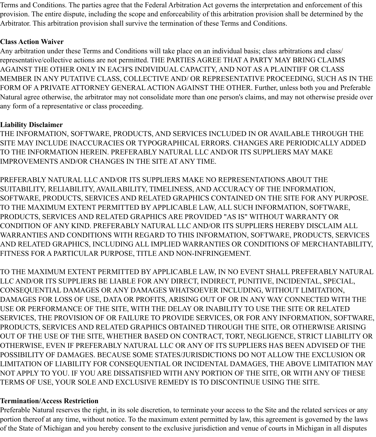Terms and Conditions. The parties agree that the Federal Arbitration Act governs the interpretation and enforcement of this provision. The entire dispute, including the scope and enforceability of this arbitration provision shall be determined by the Arbitrator. This arbitration provision shall survive the termination of these Terms and Conditions.

## **Class Action Waiver**

Any arbitration under these Terms and Conditions will take place on an individual basis; class arbitrations and class/ representative/collective actions are not permitted. THE PARTIES AGREE THAT A PARTY MAY BRING CLAIMS AGAINST THE OTHER ONLY IN EACH'S INDIVIDUAL CAPACITY, AND NOT AS A PLAINTIFF OR CLASS MEMBER IN ANY PUTATIVE CLASS, COLLECTIVE AND/ OR REPRESENTATIVE PROCEEDING, SUCH AS IN THE FORM OF A PRIVATE ATTORNEY GENERAL ACTION AGAINST THE OTHER. Further, unless both you and Preferable Natural agree otherwise, the arbitrator may not consolidate more than one person's claims, and may not otherwise preside over any form of a representative or class proceeding.

## **Liability Disclaimer**

THE INFORMATION, SOFTWARE, PRODUCTS, AND SERVICES INCLUDED IN OR AVAILABLE THROUGH THE SITE MAY INCLUDE INACCURACIES OR TYPOGRAPHICAL ERRORS. CHANGES ARE PERIODICALLY ADDED TO THE INFORMATION HEREIN. PREFERABLY NATURAL LLC AND/OR ITS SUPPLIERS MAY MAKE IMPROVEMENTS AND/OR CHANGES IN THE SITE AT ANY TIME.

PREFERABLY NATURAL LLC AND/OR ITS SUPPLIERS MAKE NO REPRESENTATIONS ABOUT THE SUITABILITY, RELIABILITY, AVAILABILITY, TIMELINESS, AND ACCURACY OF THE INFORMATION, SOFTWARE, PRODUCTS, SERVICES AND RELATED GRAPHICS CONTAINED ON THE SITE FOR ANY PURPOSE. TO THE MAXIMUM EXTENT PERMITTED BY APPLICABLE LAW, ALL SUCH INFORMATION, SOFTWARE, PRODUCTS, SERVICES AND RELATED GRAPHICS ARE PROVIDED "AS IS" WITHOUT WARRANTY OR CONDITION OF ANY KIND. PREFERABLY NATURAL LLC AND/OR ITS SUPPLIERS HEREBY DISCLAIM ALL WARRANTIES AND CONDITIONS WITH REGARD TO THIS INFORMATION, SOFTWARE, PRODUCTS, SERVICES AND RELATED GRAPHICS, INCLUDING ALL IMPLIED WARRANTIES OR CONDITIONS OF MERCHANTABILITY, FITNESS FOR A PARTICULAR PURPOSE, TITLE AND NON-INFRINGEMENT.

TO THE MAXIMUM EXTENT PERMITTED BY APPLICABLE LAW, IN NO EVENT SHALL PREFERABLY NATURAL LLC AND/OR ITS SUPPLIERS BE LIABLE FOR ANY DIRECT, INDIRECT, PUNITIVE, INCIDENTAL, SPECIAL, CONSEQUENTIAL DAMAGES OR ANY DAMAGES WHATSOEVER INCLUDING, WITHOUT LIMITATION, DAMAGES FOR LOSS OF USE, DATA OR PROFITS, ARISING OUT OF OR IN ANY WAY CONNECTED WITH THE USE OR PERFORMANCE OF THE SITE, WITH THE DELAY OR INABILITY TO USE THE SITE OR RELATED SERVICES, THE PROVISION OF OR FAILURE TO PROVIDE SERVICES, OR FOR ANY INFORMATION, SOFTWARE, PRODUCTS, SERVICES AND RELATED GRAPHICS OBTAINED THROUGH THE SITE, OR OTHERWISE ARISING OUT OF THE USE OF THE SITE, WHETHER BASED ON CONTRACT, TORT, NEGLIGENCE, STRICT LIABILITY OR OTHERWISE, EVEN IF PREFERABLY NATURAL LLC OR ANY OF ITS SUPPLIERS HAS BEEN ADVISED OF THE POSSIBILITY OF DAMAGES. BECAUSE SOME STATES/JURISDICTIONS DO NOT ALLOW THE EXCLUSION OR LIMITATION OF LIABILITY FOR CONSEQUENTIAL OR INCIDENTAL DAMAGES, THE ABOVE LIMITATION MAY NOT APPLY TO YOU. IF YOU ARE DISSATISFIED WITH ANY PORTION OF THE SITE, OR WITH ANY OF THESE TERMS OF USE, YOUR SOLE AND EXCLUSIVE REMEDY IS TO DISCONTINUE USING THE SITE.

## **Termination/Access Restriction**

Preferable Natural reserves the right, in its sole discretion, to terminate your access to the Site and the related services or any portion thereof at any time, without notice. To the maximum extent permitted by law, this agreement is governed by the laws of the State of Michigan and you hereby consent to the exclusive jurisdiction and venue of courts in Michigan in all disputes